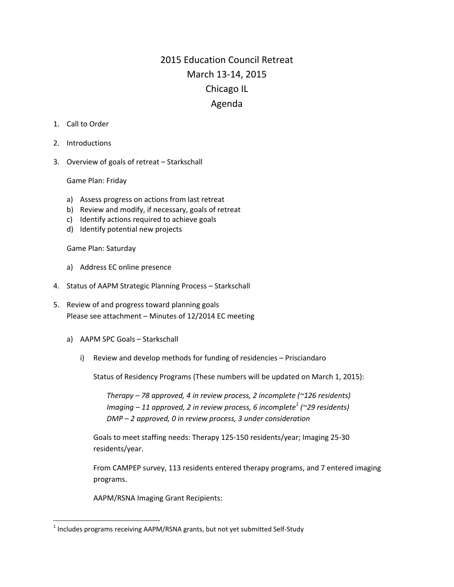## 2015 Education Council Retreat March 13‐14, 2015 Chicago IL Agenda

- 1. Call to Order
- 2. Introductions
- 3. Overview of goals of retreat Starkschall

Game Plan: Friday

- a) Assess progress on actions from last retreat
- b) Review and modify, if necessary, goals of retreat
- c) Identify actions required to achieve goals
- d) Identify potential new projects

Game Plan: Saturday

- a) Address EC online presence
- 4. Status of AAPM Strategic Planning Process Starkschall
- 5. Review of and progress toward planning goals Please see attachment – Minutes of 12/2014 EC meeting
	- a) AAPM SPC Goals Starkschall

i) Review and develop methods for funding of residencies – Prisciandaro

Status of Residency Programs (These numbers will be updated on March 1, 2015):

*Therapy – 78 approved, 4 in review process, 2 incomplete (~126 residents) Imaging – 11 approved, 2 in review process, 6 incomplete<sup>1</sup> (~29 residents) DMP – 2 approved, 0 in review process, 3 under consideration*

Goals to meet staffing needs: Therapy 125‐150 residents/year; Imaging 25‐30 residents/year.

From CAMPEP survey, 113 residents entered therapy programs, and 7 entered imaging programs.

AAPM/RSNA Imaging Grant Recipients:

 $1$  Includes programs receiving AAPM/RSNA grants, but not yet submitted Self-Study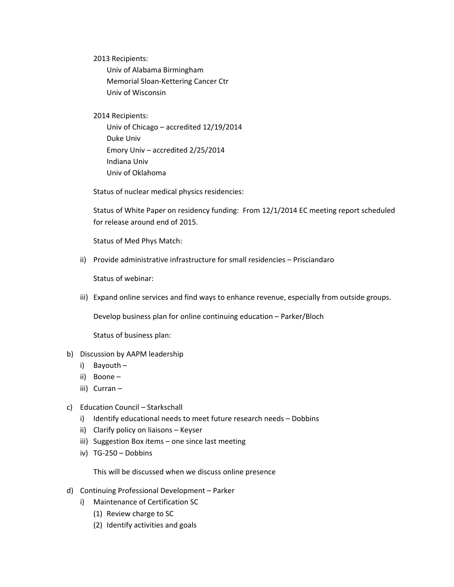2013 Recipients:

Univ of Alabama Birmingham Memorial Sloan‐Kettering Cancer Ctr Univ of Wisconsin

2014 Recipients:

Univ of Chicago – accredited 12/19/2014 Duke Univ Emory Univ – accredited 2/25/2014 Indiana Univ Univ of Oklahoma

Status of nuclear medical physics residencies:

Status of White Paper on residency funding: From 12/1/2014 EC meeting report scheduled for release around end of 2015.

Status of Med Phys Match:

ii) Provide administrative infrastructure for small residencies – Prisciandaro

Status of webinar:

iii) Expand online services and find ways to enhance revenue, especially from outside groups.

Develop business plan for online continuing education – Parker/Bloch

Status of business plan:

- b) Discussion by AAPM leadership
	- i) Bayouth –
	- ii) Boone –
	- iii) Curran –
- c) Education Council Starkschall
	- i) Identify educational needs to meet future research needs Dobbins
	- ii) Clarify policy on liaisons Keyser
	- iii) Suggestion Box items one since last meeting
	- iv) TG‐250 Dobbins

This will be discussed when we discuss online presence

- d) Continuing Professional Development Parker
	- i) Maintenance of Certification SC
		- (1) Review charge to SC
		- (2) Identify activities and goals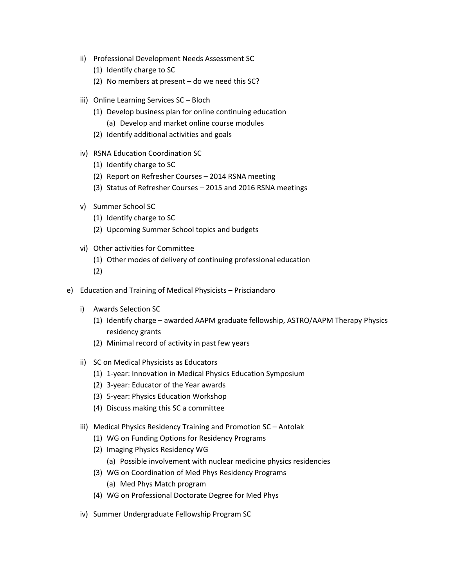- ii) Professional Development Needs Assessment SC
	- (1) Identify charge to SC
	- (2) No members at present do we need this SC?
- iii) Online Learning Services SC Bloch
	- (1) Develop business plan for online continuing education (a) Develop and market online course modules
	- (2) Identify additional activities and goals
- iv) RSNA Education Coordination SC
	- (1) Identify charge to SC
	- (2) Report on Refresher Courses 2014 RSNA meeting
	- (3) Status of Refresher Courses 2015 and 2016 RSNA meetings
- v) Summer School SC
	- (1) Identify charge to SC
	- (2) Upcoming Summer School topics and budgets
- vi) Other activities for Committee
	- (1) Other modes of delivery of continuing professional education
	- (2)
- e) Education and Training of Medical Physicists Prisciandaro
	- i) Awards Selection SC
		- (1) Identify charge awarded AAPM graduate fellowship, ASTRO/AAPM Therapy Physics residency grants
		- (2) Minimal record of activity in past few years
	- ii) SC on Medical Physicists as Educators
		- (1) 1‐year: Innovation in Medical Physics Education Symposium
		- (2) 3‐year: Educator of the Year awards
		- (3) 5‐year: Physics Education Workshop
		- (4) Discuss making this SC a committee
	- iii) Medical Physics Residency Training and Promotion SC Antolak
		- (1) WG on Funding Options for Residency Programs
		- (2) Imaging Physics Residency WG
			- (a) Possible involvement with nuclear medicine physics residencies
		- (3) WG on Coordination of Med Phys Residency Programs
			- (a) Med Phys Match program
		- (4) WG on Professional Doctorate Degree for Med Phys
	- iv) Summer Undergraduate Fellowship Program SC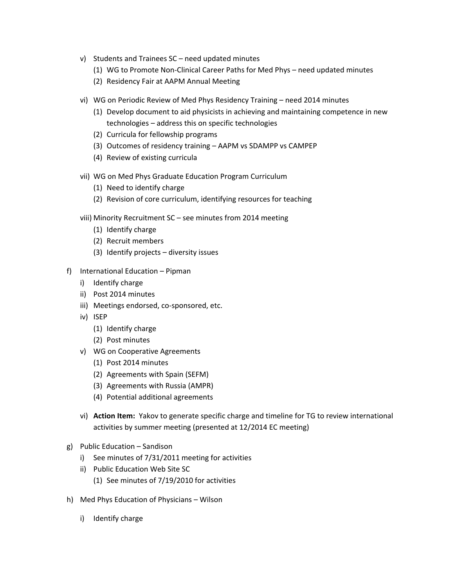- v) Students and Trainees SC need updated minutes
	- (1) WG to Promote Non‐Clinical Career Paths for Med Phys need updated minutes
	- (2) Residency Fair at AAPM Annual Meeting
- vi) WG on Periodic Review of Med Phys Residency Training need 2014 minutes
	- (1) Develop document to aid physicists in achieving and maintaining competence in new technologies – address this on specific technologies
	- (2) Curricula for fellowship programs
	- (3) Outcomes of residency training AAPM vs SDAMPP vs CAMPEP
	- (4) Review of existing curricula
- vii) WG on Med Phys Graduate Education Program Curriculum
	- (1) Need to identify charge
	- (2) Revision of core curriculum, identifying resources for teaching
- viii) Minority Recruitment SC see minutes from 2014 meeting
	- (1) Identify charge
	- (2) Recruit members
	- (3) Identify projects diversity issues
- f) International Education Pipman
	- i) Identify charge
	- ii) Post 2014 minutes
	- iii) Meetings endorsed, co-sponsored, etc.
	- iv) ISEP
		- (1) Identify charge
		- (2) Post minutes
	- v) WG on Cooperative Agreements
		- (1) Post 2014 minutes
		- (2) Agreements with Spain (SEFM)
		- (3) Agreements with Russia (AMPR)
		- (4) Potential additional agreements
	- vi) **Action Item:** Yakov to generate specific charge and timeline for TG to review international activities by summer meeting (presented at 12/2014 EC meeting)
- g) Public Education Sandison
	- i) See minutes of 7/31/2011 meeting for activities
	- ii) Public Education Web Site SC
		- (1) See minutes of 7/19/2010 for activities
- h) Med Phys Education of Physicians Wilson
	- i) Identify charge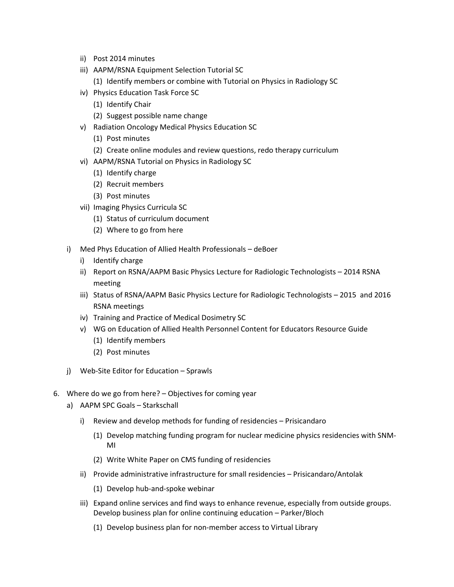- ii) Post 2014 minutes
- iii) AAPM/RSNA Equipment Selection Tutorial SC
	- (1) Identify members or combine with Tutorial on Physics in Radiology SC
- iv) Physics Education Task Force SC
	- (1) Identify Chair
	- (2) Suggest possible name change
- v) Radiation Oncology Medical Physics Education SC
	- (1) Post minutes
	- (2) Create online modules and review questions, redo therapy curriculum
- vi) AAPM/RSNA Tutorial on Physics in Radiology SC
	- (1) Identify charge
	- (2) Recruit members
	- (3) Post minutes
- vii) Imaging Physics Curricula SC
	- (1) Status of curriculum document
	- (2) Where to go from here
- i) Med Phys Education of Allied Health Professionals deBoer
	- i) Identify charge
	- ii) Report on RSNA/AAPM Basic Physics Lecture for Radiologic Technologists 2014 RSNA meeting
	- iii) Status of RSNA/AAPM Basic Physics Lecture for Radiologic Technologists 2015 and 2016 RSNA meetings
	- iv) Training and Practice of Medical Dosimetry SC
	- v) WG on Education of Allied Health Personnel Content for Educators Resource Guide (1) Identify members
		-
		- (2) Post minutes
- j) Web-Site Editor for Education Sprawls
- 6. Where do we go from here? Objectives for coming year
	- a) AAPM SPC Goals Starkschall
		- i) Review and develop methods for funding of residencies Prisicandaro
			- (1) Develop matching funding program for nuclear medicine physics residencies with SNM‐ MI
			- (2) Write White Paper on CMS funding of residencies
		- ii) Provide administrative infrastructure for small residencies Prisicandaro/Antolak
			- (1) Develop hub‐and‐spoke webinar
		- iii) Expand online services and find ways to enhance revenue, especially from outside groups. Develop business plan for online continuing education – Parker/Bloch
			- (1) Develop business plan for non‐member access to Virtual Library